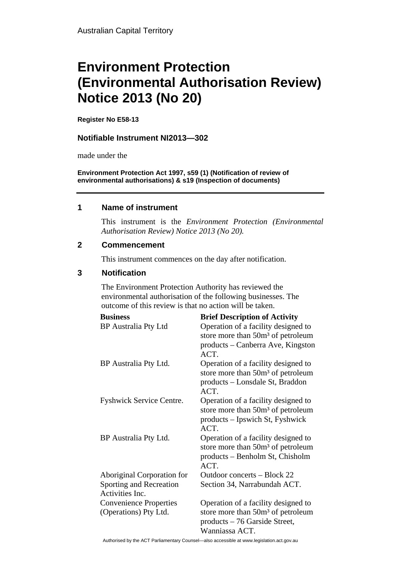# **Environment Protection (Environmental Authorisation Review) Notice 2013 (No 20)**

**Register No E58-13**

## **Notifiable Instrument NI2013—302**

made under the

**Environment Protection Act 1997, s59 (1) (Notification of review of environmental authorisations) & s19 (Inspection of documents)**

#### **1 Name of instrument**

This instrument is the *Environment Protection (Environmental Authorisation Review) Notice 2013 (No 20).* 

### **2 Commencement**

This instrument commences on the day after notification.

### **3 Notification**

The Environment Protection Authority has reviewed the environmental authorisation of the following businesses. The outcome of this review is that no action will be taken.

| <b>Business</b>                                        | <b>Brief Description of Activity</b>                                                                                                      |
|--------------------------------------------------------|-------------------------------------------------------------------------------------------------------------------------------------------|
| <b>BP</b> Australia Pty Ltd                            | Operation of a facility designed to<br>store more than 50m <sup>3</sup> of petroleum                                                      |
|                                                        | products – Canberra Ave, Kingston<br>ACT.                                                                                                 |
| BP Australia Pty Ltd.                                  | Operation of a facility designed to<br>store more than 50m <sup>3</sup> of petroleum                                                      |
|                                                        | products – Lonsdale St, Braddon<br>ACT.                                                                                                   |
| Fyshwick Service Centre.                               | Operation of a facility designed to<br>store more than 50m <sup>3</sup> of petroleum                                                      |
|                                                        | products – Ipswich St, Fyshwick<br>ACT.                                                                                                   |
| BP Australia Pty Ltd.                                  | Operation of a facility designed to<br>store more than 50m <sup>3</sup> of petroleum<br>products – Benholm St, Chisholm                   |
|                                                        | ACT.                                                                                                                                      |
| Aboriginal Corporation for                             | Outdoor concerts – Block 22                                                                                                               |
| Sporting and Recreation<br>Activities Inc.             | Section 34, Narrabundah ACT.                                                                                                              |
| <b>Convenience Properties</b><br>(Operations) Pty Ltd. | Operation of a facility designed to<br>store more than 50m <sup>3</sup> of petroleum<br>$products - 76$ Garside Street,<br>Wanniassa ACT. |